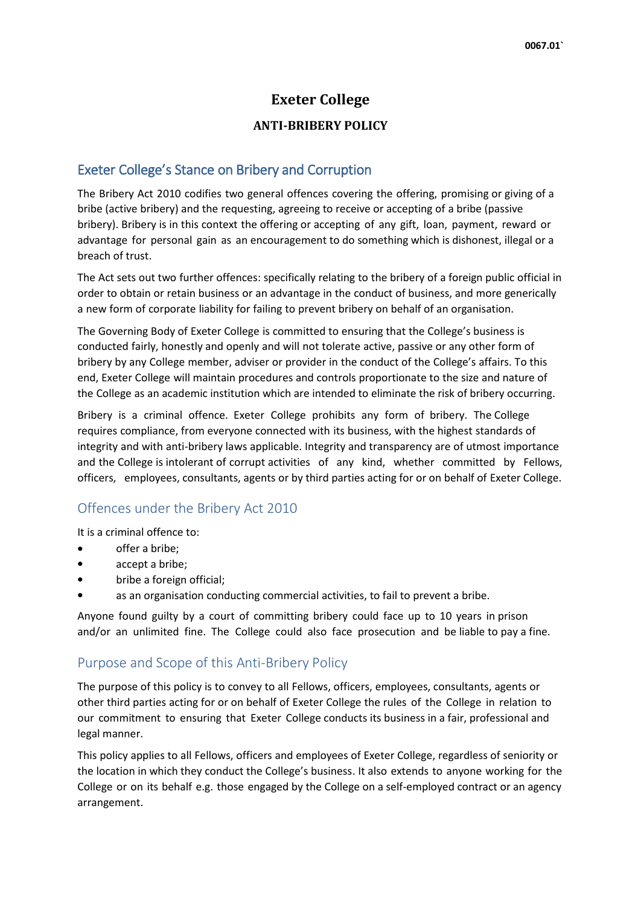# **Exeter College**

#### **ANTI-BRIBERY POLICY**

### Exeter College's Stance on Bribery and Corruption

The Bribery Act 2010 codifies two general offences covering the offering, promising or giving of a bribe (active bribery) and the requesting, agreeing to receive or accepting of a bribe (passive bribery). Bribery is in this context the offering or accepting of any gift, loan, payment, reward or advantage for personal gain as an encouragement to do something which is dishonest, illegal or a breach of trust.

The Act sets out two further offences: specifically relating to the bribery of a foreign public official in order to obtain or retain business or an advantage in the conduct of business, and more generically a new form of corporate liability for failing to prevent bribery on behalf of an organisation.

The Governing Body of Exeter College is committed to ensuring that the College's business is conducted fairly, honestly and openly and will not tolerate active, passive or any other form of bribery by any College member, adviser or provider in the conduct of the College's affairs. To this end, Exeter College will maintain procedures and controls proportionate to the size and nature of the College as an academic institution which are intended to eliminate the risk of bribery occurring.

Bribery is a criminal offence. Exeter College prohibits any form of bribery. The College requires compliance, from everyone connected with its business, with the highest standards of integrity and with anti-bribery laws applicable. Integrity and transparency are of utmost importance and the College is intolerant of corrupt activities of any kind, whether committed by Fellows, officers, employees, consultants, agents or by third parties acting for or on behalf of Exeter College.

## Offences under the Bribery Act 2010

It is a criminal offence to:

- offer a bribe;
- accept a bribe;
- bribe a foreign official;
- as an organisation conducting commercial activities, to fail to prevent a bribe.

Anyone found guilty by a court of committing bribery could face up to 10 years in prison and/or an unlimited fine. The College could also face prosecution and be liable to pay a fine.

#### Purpose and Scope of this Anti-Bribery Policy

The purpose of this policy is to convey to all Fellows, officers, employees, consultants, agents or other third parties acting for or on behalf of Exeter College the rules of the College in relation to our commitment to ensuring that Exeter College conducts its business in a fair, professional and legal manner.

This policy applies to all Fellows, officers and employees of Exeter College, regardless of seniority or the location in which they conduct the College's business. It also extends to anyone working for the College or on its behalf e.g. those engaged by the College on a self-employed contract or an agency arrangement.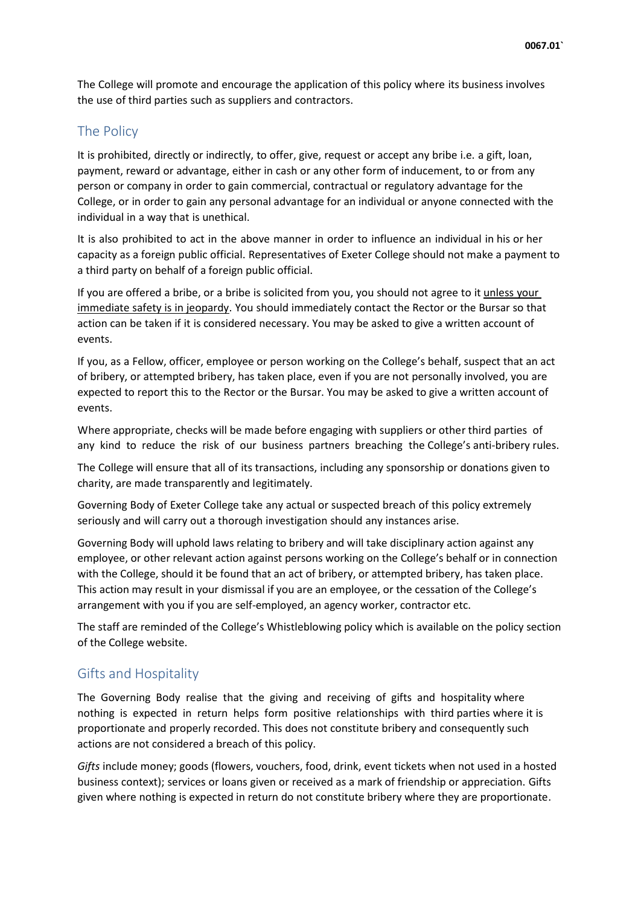The College will promote and encourage the application of this policy where its business involves the use of third parties such as suppliers and contractors.

### The Policy

It is prohibited, directly or indirectly, to offer, give, request or accept any bribe i.e. a gift, loan, payment, reward or advantage, either in cash or any other form of inducement, to or from any person or company in order to gain commercial, contractual or regulatory advantage for the College, or in order to gain any personal advantage for an individual or anyone connected with the individual in a way that is unethical.

It is also prohibited to act in the above manner in order to influence an individual in his or her capacity as a foreign public official. Representatives of Exeter College should not make a payment to a third party on behalf of a foreign public official.

If you are offered a bribe, or a bribe is solicited from you, you should not agree to it unless your immediate safety is in jeopardy. You should immediately contact the Rector or the Bursar so that action can be taken if it is considered necessary. You may be asked to give a written account of events.

If you, as a Fellow, officer, employee or person working on the College's behalf, suspect that an act of bribery, or attempted bribery, has taken place, even if you are not personally involved, you are expected to report this to the Rector or the Bursar. You may be asked to give a written account of events.

Where appropriate, checks will be made before engaging with suppliers or other third parties of any kind to reduce the risk of our business partners breaching the College's anti-bribery rules.

The College will ensure that all of its transactions, including any sponsorship or donations given to charity, are made transparently and legitimately.

Governing Body of Exeter College take any actual or suspected breach of this policy extremely seriously and will carry out a thorough investigation should any instances arise.

Governing Body will uphold laws relating to bribery and will take disciplinary action against any employee, or other relevant action against persons working on the College's behalf or in connection with the College, should it be found that an act of bribery, or attempted bribery, has taken place. This action may result in your dismissal if you are an employee, or the cessation of the College's arrangement with you if you are self-employed, an agency worker, contractor etc.

The staff are reminded of the College's Whistleblowing policy which is available on the policy section of the College website.

## Gifts and Hospitality

The Governing Body realise that the giving and receiving of gifts and hospitality where nothing is expected in return helps form positive relationships with third parties where it is proportionate and properly recorded. This does not constitute bribery and consequently such actions are not considered a breach of this policy.

*Gifts* include money; goods (flowers, vouchers, food, drink, event tickets when not used in a hosted business context); services or loans given or received as a mark of friendship or appreciation. Gifts given where nothing is expected in return do not constitute bribery where they are proportionate.